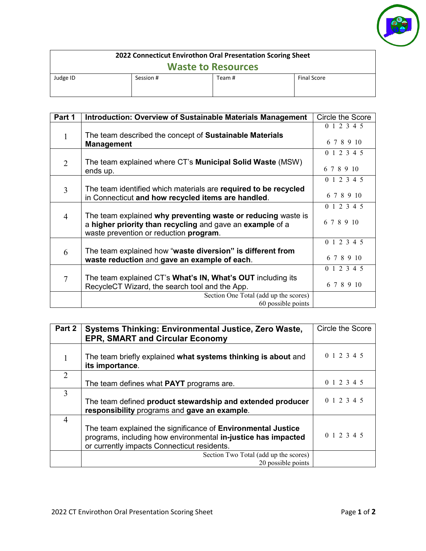

| 2022 Connecticut Envirothon Oral Presentation Scoring Sheet |           |        |                    |  |
|-------------------------------------------------------------|-----------|--------|--------------------|--|
| <b>Waste to Resources</b>                                   |           |        |                    |  |
| Judge ID                                                    | Session # | Team # | <b>Final Score</b> |  |

| Part 1         | <b>Introduction: Overview of Sustainable Materials Management</b>                                                                                                   | Circle the Score          |
|----------------|---------------------------------------------------------------------------------------------------------------------------------------------------------------------|---------------------------|
| 1              | The team described the concept of Sustainable Materials<br><b>Management</b>                                                                                        | 0 1 2 3 4 5<br>6 7 8 9 10 |
| $\overline{2}$ | The team explained where CT's <b>Municipal Solid Waste</b> (MSW)<br>ends up.                                                                                        | 0 1 2 3 4 5<br>6 7 8 9 10 |
| 3              | The team identified which materials are required to be recycled<br>in Connecticut and how recycled items are handled.                                               | 0 1 2 3 4 5<br>6 7 8 9 10 |
| $\overline{4}$ | The team explained why preventing waste or reducing waste is<br>a higher priority than recycling and gave an example of a<br>waste prevention or reduction program. | 0 1 2 3 4 5<br>6 7 8 9 10 |
| 6              | The team explained how "waste diversion" is different from<br>waste reduction and gave an example of each.                                                          | 0 1 2 3 4 5<br>6 7 8 9 10 |
| 7              | The team explained CT's <b>What's IN, What's OUT</b> including its<br>RecycleCT Wizard, the search tool and the App.                                                | 0 1 2 3 4 5<br>6 7 8 9 10 |
|                | Section One Total (add up the scores)<br>60 possible points                                                                                                         |                           |

| Part 2                      | <b>Systems Thinking: Environmental Justice, Zero Waste,</b><br><b>EPR, SMART and Circular Economy</b>                                                                        | Circle the Score |
|-----------------------------|------------------------------------------------------------------------------------------------------------------------------------------------------------------------------|------------------|
|                             | The team briefly explained what systems thinking is about and<br>its importance.                                                                                             | 0 1 2 3 4 5      |
| $\mathcal{D}_{\mathcal{L}}$ | The team defines what <b>PAYT</b> programs are.                                                                                                                              | 0 1 2 3 4 5      |
| 3                           | The team defined product stewardship and extended producer<br>responsibility programs and gave an example.                                                                   | 0 1 2 3 4 5      |
| 4                           | The team explained the significance of Environmental Justice<br>programs, including how environmental in-justice has impacted<br>or currently impacts Connecticut residents. | 0 1 2 3 4 5      |
|                             | Section Two Total (add up the scores)<br>20 possible points                                                                                                                  |                  |